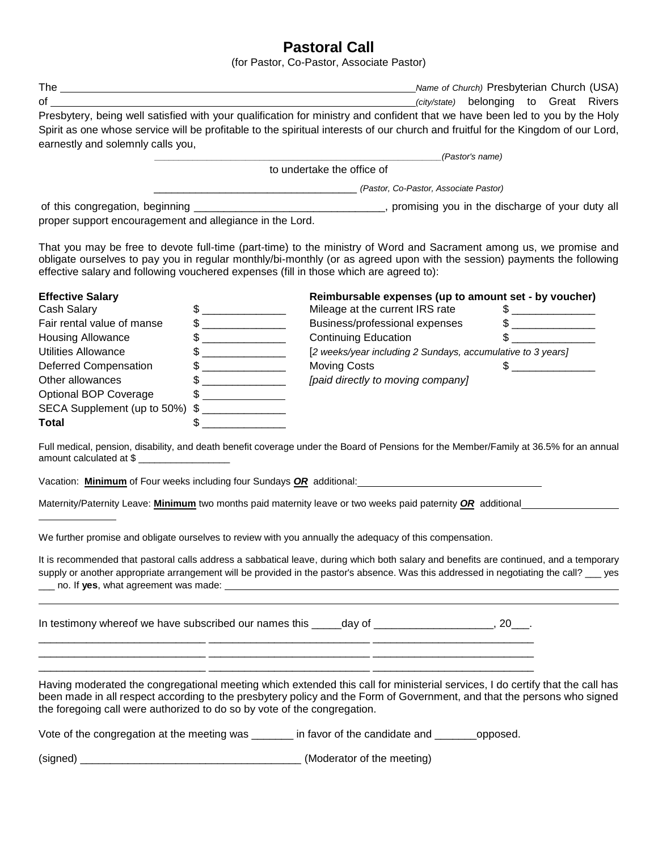## **Pastoral Call**

|                                                                          |                                                                                                                                                                                                                                                                                                                                                                     | Pastoral Call<br>(for Pastor, Co-Pastor, Associate Pastor)                                                                                                                                                                                     |                                                                                                                                                                                                                                                                                  |  |
|--------------------------------------------------------------------------|---------------------------------------------------------------------------------------------------------------------------------------------------------------------------------------------------------------------------------------------------------------------------------------------------------------------------------------------------------------------|------------------------------------------------------------------------------------------------------------------------------------------------------------------------------------------------------------------------------------------------|----------------------------------------------------------------------------------------------------------------------------------------------------------------------------------------------------------------------------------------------------------------------------------|--|
|                                                                          |                                                                                                                                                                                                                                                                                                                                                                     |                                                                                                                                                                                                                                                |                                                                                                                                                                                                                                                                                  |  |
| $\mathsf{of}$                                                            | (city/state) belonging to Great Rivers                                                                                                                                                                                                                                                                                                                              |                                                                                                                                                                                                                                                |                                                                                                                                                                                                                                                                                  |  |
|                                                                          |                                                                                                                                                                                                                                                                                                                                                                     |                                                                                                                                                                                                                                                | Presbytery, being well satisfied with your qualification for ministry and confident that we have been led to you by the Holy                                                                                                                                                     |  |
|                                                                          |                                                                                                                                                                                                                                                                                                                                                                     |                                                                                                                                                                                                                                                | Spirit as one whose service will be profitable to the spiritual interests of our church and fruitful for the Kingdom of our Lord,                                                                                                                                                |  |
| earnestly and solemnly calls you,                                        |                                                                                                                                                                                                                                                                                                                                                                     |                                                                                                                                                                                                                                                |                                                                                                                                                                                                                                                                                  |  |
|                                                                          |                                                                                                                                                                                                                                                                                                                                                                     |                                                                                                                                                                                                                                                | (Pastor's name)                                                                                                                                                                                                                                                                  |  |
|                                                                          |                                                                                                                                                                                                                                                                                                                                                                     | to undertake the office of                                                                                                                                                                                                                     |                                                                                                                                                                                                                                                                                  |  |
|                                                                          |                                                                                                                                                                                                                                                                                                                                                                     | (Pastor, Co-Pastor, Associate Pastor)                                                                                                                                                                                                          |                                                                                                                                                                                                                                                                                  |  |
|                                                                          |                                                                                                                                                                                                                                                                                                                                                                     |                                                                                                                                                                                                                                                |                                                                                                                                                                                                                                                                                  |  |
| proper support encouragement and allegiance in the Lord.                 |                                                                                                                                                                                                                                                                                                                                                                     |                                                                                                                                                                                                                                                |                                                                                                                                                                                                                                                                                  |  |
|                                                                          |                                                                                                                                                                                                                                                                                                                                                                     | effective salary and following vouchered expenses (fill in those which are agreed to):                                                                                                                                                         | That you may be free to devote full-time (part-time) to the ministry of Word and Sacrament among us, we promise and<br>obligate ourselves to pay you in regular monthly/bi-monthly (or as agreed upon with the session) payments the following                                   |  |
| <b>Effective Salary</b>                                                  |                                                                                                                                                                                                                                                                                                                                                                     |                                                                                                                                                                                                                                                | Reimbursable expenses (up to amount set - by voucher)                                                                                                                                                                                                                            |  |
| Cash Salary                                                              | $\frac{1}{2}$                                                                                                                                                                                                                                                                                                                                                       | Mileage at the current IRS rate                                                                                                                                                                                                                | $\frac{1}{2}$                                                                                                                                                                                                                                                                    |  |
| Fair rental value of manse                                               |                                                                                                                                                                                                                                                                                                                                                                     | Business/professional expenses                                                                                                                                                                                                                 |                                                                                                                                                                                                                                                                                  |  |
| <b>Housing Allowance</b>                                                 | $\begin{picture}(20,10) \put(0,0){\vector(1,0){100}} \put(15,0){\vector(1,0){100}} \put(15,0){\vector(1,0){100}} \put(15,0){\vector(1,0){100}} \put(15,0){\vector(1,0){100}} \put(15,0){\vector(1,0){100}} \put(15,0){\vector(1,0){100}} \put(15,0){\vector(1,0){100}} \put(15,0){\vector(1,0){100}} \put(15,0){\vector(1,0){100}} \put(15,0){\vector(1,0){100}} \$ | <b>Continuing Education</b>                                                                                                                                                                                                                    |                                                                                                                                                                                                                                                                                  |  |
| Utilities Allowance                                                      | $\begin{picture}(20,10) \put(0,0){\line(1,0){10}} \put(15,0){\line(1,0){10}} \put(15,0){\line(1,0){10}} \put(15,0){\line(1,0){10}} \put(15,0){\line(1,0){10}} \put(15,0){\line(1,0){10}} \put(15,0){\line(1,0){10}} \put(15,0){\line(1,0){10}} \put(15,0){\line(1,0){10}} \put(15,0){\line(1,0){10}} \put(15,0){\line(1,0){10}} \put(15,0){\line(1$                 |                                                                                                                                                                                                                                                | [2 weeks/year including 2 Sundays, accumulative to 3 years]                                                                                                                                                                                                                      |  |
| Deferred Compensation                                                    |                                                                                                                                                                                                                                                                                                                                                                     | <b>Moving Costs</b>                                                                                                                                                                                                                            | $\frac{1}{1}$                                                                                                                                                                                                                                                                    |  |
| Other allowances                                                         |                                                                                                                                                                                                                                                                                                                                                                     | [paid directly to moving company]                                                                                                                                                                                                              |                                                                                                                                                                                                                                                                                  |  |
| <b>Optional BOP Coverage</b>                                             | $\frac{1}{2}$                                                                                                                                                                                                                                                                                                                                                       |                                                                                                                                                                                                                                                |                                                                                                                                                                                                                                                                                  |  |
| SECA Supplement (up to 50%)                                              |                                                                                                                                                                                                                                                                                                                                                                     |                                                                                                                                                                                                                                                |                                                                                                                                                                                                                                                                                  |  |
| Total                                                                    |                                                                                                                                                                                                                                                                                                                                                                     |                                                                                                                                                                                                                                                |                                                                                                                                                                                                                                                                                  |  |
|                                                                          |                                                                                                                                                                                                                                                                                                                                                                     |                                                                                                                                                                                                                                                |                                                                                                                                                                                                                                                                                  |  |
| amount calculated at \$                                                  |                                                                                                                                                                                                                                                                                                                                                                     |                                                                                                                                                                                                                                                | Full medical, pension, disability, and death benefit coverage under the Board of Pensions for the Member/Family at 36.5% for an annual                                                                                                                                           |  |
|                                                                          |                                                                                                                                                                                                                                                                                                                                                                     | Vacation: <b>Minimum</b> of Four weeks including four Sundays <b>OR</b> additional: <u>Cambress Community of The Community of The Community of The Community of The Community of The Community of The Community of The Community of The Co</u> |                                                                                                                                                                                                                                                                                  |  |
|                                                                          |                                                                                                                                                                                                                                                                                                                                                                     |                                                                                                                                                                                                                                                | Maternity/Paternity Leave: <b>Minimum</b> two months paid maternity leave or two weeks paid paternity <b>OR</b> additional                                                                                                                                                       |  |
|                                                                          |                                                                                                                                                                                                                                                                                                                                                                     | We further promise and obligate ourselves to review with you annually the adequacy of this compensation.                                                                                                                                       |                                                                                                                                                                                                                                                                                  |  |
|                                                                          |                                                                                                                                                                                                                                                                                                                                                                     |                                                                                                                                                                                                                                                | It is recommended that pastoral calls address a sabbatical leave, during which both salary and benefits are continued, and a temporary<br>supply or another appropriate arrangement will be provided in the pastor's absence. Was this addressed in negotiating the call? __ yes |  |
|                                                                          |                                                                                                                                                                                                                                                                                                                                                                     | In testimony whereof we have subscribed our names this _____day of _____________________, 20___.<br><u> 1999 - Jan Jan James, mars and deutscher Schweizer (d. 1989)</u>                                                                       |                                                                                                                                                                                                                                                                                  |  |
| the foregoing call were authorized to do so by vote of the congregation. |                                                                                                                                                                                                                                                                                                                                                                     | <u> 1990 - 1990 - 1990 - 1990 - 1990 - 1990 - 1990 - 1990 - 1990 - 1990 - 1990 - 1990 - 1990 - 1990 - 1990 - 199</u>                                                                                                                           | Having moderated the congregational meeting which extended this call for ministerial services, I do certify that the call has<br>been made in all respect according to the presbytery policy and the Form of Government, and that the persons who signed                         |  |

Vote of the congregation at the meeting was \_\_\_\_\_\_\_ in favor of the candidate and \_\_\_\_\_\_\_opposed.

(signed) \_\_\_\_\_\_\_\_\_\_\_\_\_\_\_\_\_\_\_\_\_\_\_\_\_\_\_\_\_\_\_\_\_\_\_\_\_ (Moderator of the meeting)